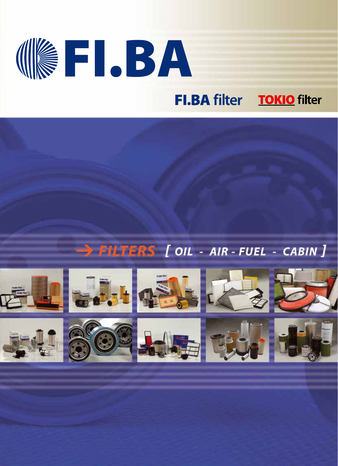# **ISRICET FI.BA filter TOKIO filter**

### > FILTERS [ OIL - AIR - FUEL - CABIN ]

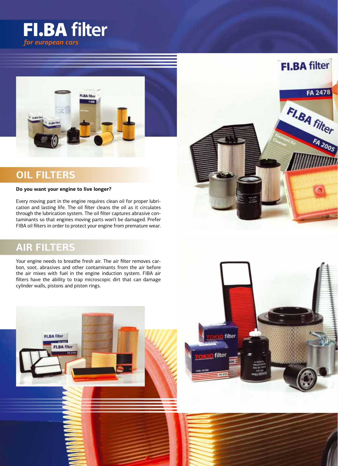



### **OIL FILTERS**

#### **Do you want your engine to live longer?**

Every moving part in the engine requires clean oil for proper lubrication and lasting life. The oil filter cleans the oil as it circulates through the lubrication system. The oil filter captures abrasive contaminants so that engines moving parts won't be damaged. Prefer FIBA oil filters in order to protect your engine from premature wear.

#### **AIR FILTERS**

**FI.BA filter** 

**FLBA** filter **FA 170** 

Your engine needs to breathe fresh air. The air filter removes carbon, soot, abrasives and other contaminants from the air before the air mixes with fuel in the engine induction system. FIBA air filters have the ability to trap microscopic dirt that can damage cylinder walls, pistons and piston rings.



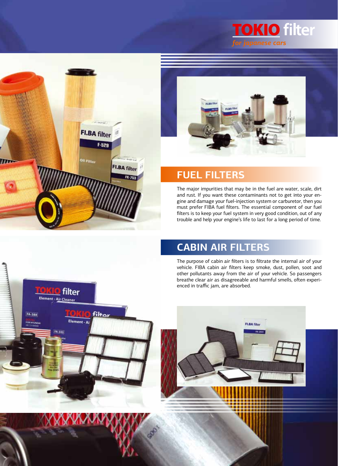





#### **FUEL FILTERS**

The major impurities that may be in the fuel are water, scale, dirt and rust. If you want these contaminants not to get into your engine and damage your fuel-injection system or carburetor, then you must prefer FIBA fuel filters. The essential component of our fuel filters is to keep your fuel system in very good condition, out of any trouble and help your engine's life to last for a long period of time.

### **CABIN AIR FILTERS**

The purpose of cabin air filters is to filtrate the internal air of your vehicle. FIBA cabin air filters keep smoke, dust, pollen, soot and other pollutants away from the air of your vehicle. So passengers breathe clear air as disagreeable and harmful smells, often experi-